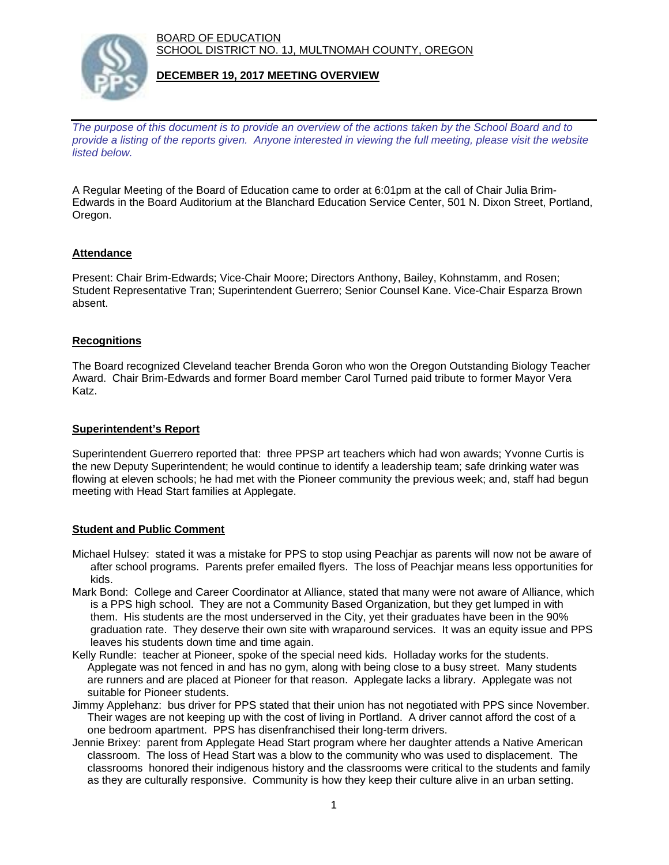BOARD OF EDUCATION SCHOOL DISTRICT NO. 1J, MULTNOMAH COUNTY, OREGON



### **DECEMBER 19, 2017 MEETING OVERVIEW**

*The purpose of this document is to provide an overview of the actions taken by the School Board and to provide a listing of the reports given. Anyone interested in viewing the full meeting, please visit the website listed below.*

A Regular Meeting of the Board of Education came to order at 6:01pm at the call of Chair Julia Brim-Edwards in the Board Auditorium at the Blanchard Education Service Center, 501 N. Dixon Street, Portland, Oregon.

# **Attendance**

Present: Chair Brim-Edwards; Vice-Chair Moore; Directors Anthony, Bailey, Kohnstamm, and Rosen; Student Representative Tran; Superintendent Guerrero; Senior Counsel Kane. Vice-Chair Esparza Brown absent.

### **Recognitions**

The Board recognized Cleveland teacher Brenda Goron who won the Oregon Outstanding Biology Teacher Award. Chair Brim-Edwards and former Board member Carol Turned paid tribute to former Mayor Vera Katz.

### **Superintendent's Report**

Superintendent Guerrero reported that: three PPSP art teachers which had won awards; Yvonne Curtis is the new Deputy Superintendent; he would continue to identify a leadership team; safe drinking water was flowing at eleven schools; he had met with the Pioneer community the previous week; and, staff had begun meeting with Head Start families at Applegate.

#### **Student and Public Comment**

- Michael Hulsey: stated it was a mistake for PPS to stop using Peachjar as parents will now not be aware of after school programs. Parents prefer emailed flyers. The loss of Peachjar means less opportunities for kids.
- Mark Bond: College and Career Coordinator at Alliance, stated that many were not aware of Alliance, which is a PPS high school. They are not a Community Based Organization, but they get lumped in with them. His students are the most underserved in the City, yet their graduates have been in the 90% graduation rate. They deserve their own site with wraparound services. It was an equity issue and PPS leaves his students down time and time again.
- Kelly Rundle: teacher at Pioneer, spoke of the special need kids. Holladay works for the students. Applegate was not fenced in and has no gym, along with being close to a busy street. Many students are runners and are placed at Pioneer for that reason. Applegate lacks a library. Applegate was not suitable for Pioneer students.
- Jimmy Applehanz: bus driver for PPS stated that their union has not negotiated with PPS since November. Their wages are not keeping up with the cost of living in Portland. A driver cannot afford the cost of a one bedroom apartment. PPS has disenfranchised their long-term drivers.
- Jennie Brixey: parent from Applegate Head Start program where her daughter attends a Native American classroom. The loss of Head Start was a blow to the community who was used to displacement. The classrooms honored their indigenous history and the classrooms were critical to the students and family as they are culturally responsive. Community is how they keep their culture alive in an urban setting.